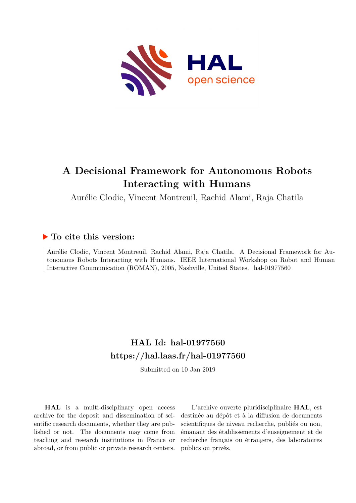

# **A Decisional Framework for Autonomous Robots Interacting with Humans**

Aurélie Clodic, Vincent Montreuil, Rachid Alami, Raja Chatila

# **To cite this version:**

Aurélie Clodic, Vincent Montreuil, Rachid Alami, Raja Chatila. A Decisional Framework for Autonomous Robots Interacting with Humans. IEEE International Workshop on Robot and Human Interactive Communication (ROMAN), 2005, Nashville, United States. hal-01977560

# **HAL Id: hal-01977560 <https://hal.laas.fr/hal-01977560>**

Submitted on 10 Jan 2019

**HAL** is a multi-disciplinary open access archive for the deposit and dissemination of scientific research documents, whether they are published or not. The documents may come from teaching and research institutions in France or abroad, or from public or private research centers.

L'archive ouverte pluridisciplinaire **HAL**, est destinée au dépôt et à la diffusion de documents scientifiques de niveau recherche, publiés ou non, émanant des établissements d'enseignement et de recherche français ou étrangers, des laboratoires publics ou privés.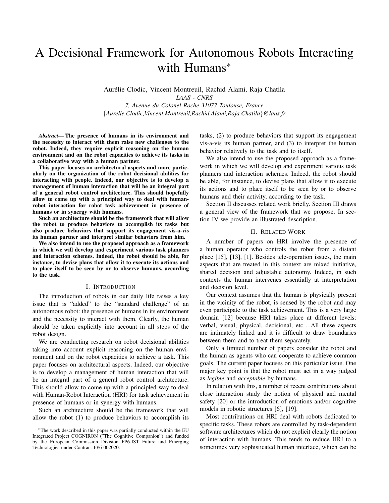# A Decisional Framework for Autonomous Robots Interacting with Humans<sup>\*</sup>

Aurélie Clodic, Vincent Montreuil, Rachid Alami, Raja Chatila *LAAS - CNRS*

*7, Avenue du Colonel Roche 31077 Toulouse, France {Aurelie.Clodic,Vincent.Montreuil,Rachid.Alami,Raja.Chatila}@laas.fr*

*Abstract*— The presence of humans in its environment and the necessity to interact with them raise new challenges to the robot. Indeed, they require explicit reasoning on the human environment and on the robot capacities to achieve its tasks in a collaborative way with a human partner.

This paper focuses on architectural aspects and more particularly on the organization of the robot decisional abilities for interacting with people. Indeed, our objective is to develop a management of human interaction that will be an integral part of a general robot control architecture. This should hopefully allow to come up with a principled way to deal with humanrobot interaction for robot task achievement in presence of humans or in synergy with humans.

Such an architecture should be the framework that will allow the robot to produce behaviors to accomplish its tasks but also produce behaviors that support its engagement vis-a-vis its human partner and interpret similar behaviors from him.

We also intend to use the proposed approach as a framework in which we will develop and experiment various task planners and interaction schemes. Indeed, the robot should be able, for instance, to devise plans that allow it to execute its actions and to place itself to be seen by or to observe humans, according to the task.

#### I. INTRODUCTION

The introduction of robots in our daily life raises a key issue that is "added" to the "standard challenge" of an autonomous robot: the presence of humans in its environment and the necessity to interact with them. Clearly, the human should be taken explicitly into account in all steps of the robot design.

We are conducting research on robot decisional abilities taking into account explicit reasoning on the human environment and on the robot capacities to achieve a task. This paper focuses on architectural aspects. Indeed, our objective is to develop a management of human interaction that will be an integral part of a general robot control architecture. This should allow to come up with a principled way to deal with Human-Robot Interaction (HRI) for task achievement in presence of humans or in synergy with humans.

Such an architecture should be the framework that will allow the robot (1) to produce behaviors to accomplish its tasks, (2) to produce behaviors that support its engagement vis-a-vis its human partner, and (3) to interpret the human behavior relatively to the task and to itself.

We also intend to use the proposed approach as a framework in which we will develop and experiment various task planners and interaction schemes. Indeed, the robot should be able, for instance, to devise plans that allow it to execute its actions and to place itself to be seen by or to observe humans and their activity, according to the task.

Section II discusses related work briefly. Section III draws a general view of the framework that we propose. In section IV we provide an illustrated description.

# II. RELATED WORK

A number of papers on HRI involve the presence of a human operator who controls the robot from a distant place [15], [13], [1]. Besides tele-operation issues, the main aspects that are treated in this context are mixed initiative, shared decision and adjustable autonomy. Indeed, in such contexts the human intervenes essentially at interpretation and decision level.

Our context assumes that the human is physically present in the vicinity of the robot, is sensed by the robot and may even participate to the task achievement. This is a very large domain [12] because HRI takes place at different levels: verbal, visual, physical, decisional, etc. . . All these aspects are intimately linked and it is difficult to draw boundaries between them and to treat them separately.

Only a limited number of papers consider the robot and the human as agents who can cooperate to achieve common goals. The current paper focuses on this particular issue. One major key point is that the robot must act in a way judged as *legible* and *acceptable* by humans.

In relation with this, a number of recent contributions about close interaction study the notion of physical and mental safety [20] or the introduction of emotions and/or cognitive models in robotic structures [6], [19].

Most contributions on HRI deal with robots dedicated to specific tasks. These robots are controlled by task-dependent software architectures which do not explicit clearly the notion of interaction with humans. This tends to reduce HRI to a sometimes very sophisticated human interface, which can be

<sup>∗</sup>The work described in this paper was partially conducted within the EU Integrated Project COGNIRON ("The Cognitive Companion") and funded by the European Commission Division FP6-IST Future and Emerging Technologies under Contract FP6-002020.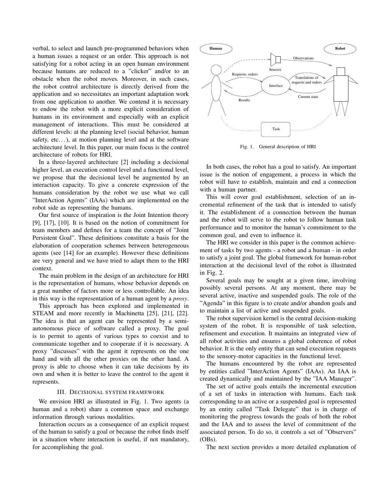verbal, to select and launch pre-programmed behaviors when a human issues a request or an order. This approach is not satisfying for a robot acting in an open human environment because humans are reduced to a "clicker" and/or to an obstacle when the robot moves. Moreover, in such cases, the robot control architecture is directly derived from the application and so necessitates an important adaptation work from one application to another. We contend it is necessary to endow the robot with a more explicit consideration of humans in its environment and especially with an explicit management of interactions. This must be considered at different levels: at the planning level (social behavior, human safety,  $etc...$ ), at motion planning level and at the software architecture level. In this paper, our main focus is the control architecture of robots for HRI.

In a three-layered architecture [2] including a decisional higher level, an execution control level and a functional level, we propose that the decisional level be augmented by an interaction capacity. To give a concrete expression of the humans consideration by the robot we use what we call "InterAction Agents" (IAAs) which are implemented on the robot side as representing the humans.

Our first source of inspiration is the Joint Intention theory [9], [17], [10]. It is based on the notion of commitment for team members and defines for a team the concept of "Joint Persistent Goal". These definitions constitute a basis for the elaboration of cooperation schemes between heterogeneous agents (see [14] for an example). However these definitions are very general and we have tried to adapt them to the HRI context.

The main problem in the design of an architecture for HRI is the representation of humans, whose behavior depends on a great number of factors more or less controllable. An idea in this way is the representation of a human agent by a *proxy*.

This approach has been explored and implemented in STEAM and more recently in Machinetta [25], [21], [22]. The idea is that an agent can be represented by a semiautonomous piece of software called a proxy. The goal is to permit to agents of various types to coexist and to communicate together and to cooperate if it is necessary. A proxy "discusses" with the agent it represents on the one hand and with all the other proxies on the other hand. A proxy is able to choose when it can take decisions by its own and when it is better to leave the control to the agent it represents.

# III. DECISIONAL SYSTEM FRAMEWORK

We envision HRI as illustrated in Fig. 1. Two agents (a human and a robot) share a common space and exchange information through various modalities.

Interaction occurs as a consequence of an explicit request of the human to satisfy a goal or because the robot finds itself in a situation where interaction is useful, if not mandatory, for accomplishing the goal.



Fig. 1. General description of HRI

In both cases, the robot has a goal to satisfy. An important issue is the notion of engagement, a process in which the robot will have to establish, maintain and end a connection with a human partner.

This will cover goal establishment, selection of an incremental refinement of the task that is intended to satisfy it. The establishment of a connection between the human and the robot will serve to the robot to follow human task performance and to monitor the human's commitment to the common goal, and even to influence it.

The HRI we consider in this paper is the common achievement of tasks by two agents - a robot and a human - in order to satisfy a joint goal. The global framework for human-robot interaction at the decisional level of the robot is illustrated in Fig. 2.

Several goals may be sought at a given time, involving possibly several persons. At any moment, there may be several active, inactive and suspended goals. The role of the "Agenda" in this figure is to create and/or abandon goals and to maintain a list of active and suspended goals.

The robot supervision kernel is the central decision-making system of the robot. It is responsible of task selection, refinement and execution. It maintains an integrated view of all robot activities and ensures a global coherence of robot behavior. It is the only entity that can send execution requests to the sensory-motor capacities in the functional level.

The humans encountered by the robot are represented by entities called "InterAction Agents" (IAAs). An IAA is created dynamically and maintained by the "IAA Manager".

The set of active goals entails the incremental execution of a set of tasks in interaction with humans. Each task corresponding to an active or a suspended goal is represented by an entity called "Task Delegate" that is in charge of monitoring the progress towards the goals of both the robot and the IAA and to assess the level of commitment of the associated person. To do so, it controls a set of "Observers" (OBs).

The next section provides a more detailed explanation of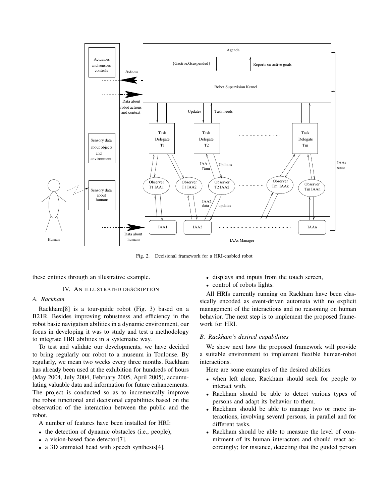

Fig. 2. Decisional framework for a HRI-enabled robot

these entities through an illustrative example.

# IV. AN ILLUSTRATED DESCRIPTION

# *A. Rackham*

Rackham[8] is a tour-guide robot (Fig. 3) based on a B21R. Besides improving robustness and efficiency in the robot basic navigation abilities in a dynamic environment, our focus in developing it was to study and test a methodology to integrate HRI abilities in a systematic way.

To test and validate our developments, we have decided to bring regularly our robot to a museum in Toulouse. By regularly, we mean two weeks every three months. Rackham has already been used at the exhibition for hundreds of hours (May 2004, July 2004, February 2005, April 2005), accumulating valuable data and information for future enhancements. The project is conducted so as to incrementally improve the robot functional and decisional capabilities based on the observation of the interaction between the public and the robot.

A number of features have been installed for HRI:

- the detection of dynamic obstacles (i.e., people),
- a vision-based face detector[7],
- *•* a 3D animated head with speech synthesis[4],
- *•* displays and inputs from the touch screen,
- *•* control of robots lights.

All HRIs currently running on Rackham have been classically encoded as event-driven automata with no explicit management of the interactions and no reasoning on human behavior. The next step is to implement the proposed framework for HRI.

#### *B. Rackham's desired capabilities*

We show next how the proposed framework will provide a suitable environment to implement flexible human-robot interactions.

Here are some examples of the desired abilities:

- *•* when left alone, Rackham should seek for people to interact with.
- *•* Rackham should be able to detect various types of persons and adapt its behavior to them.
- *•* Rackham should be able to manage two or more interactions, involving several persons, in parallel and for different tasks.
- *•* Rackham should be able to measure the level of commitment of its human interactors and should react accordingly; for instance, detecting that the guided person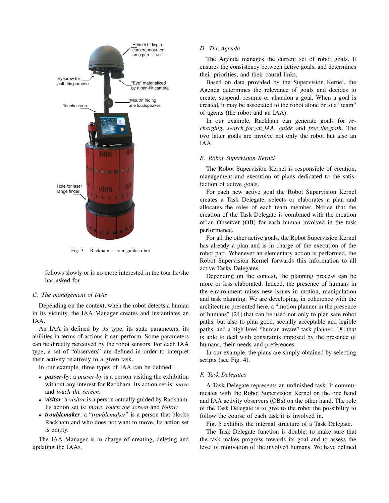

Fig. 3. Rackham: a tour guide robot

follows slowly or is no more interested in the tour he/she has asked for.

# *C. The management of IAAs*

Depending on the context, when the robot detects a human in its vicinity, the IAA Manager creates and instantiates an IAA.

An IAA is defined by its type, its state parameters, its abilities in terms of actions it can perform. Some parameters can be directly perceived by the robot sensors. For each IAA type, a set of "observers" are defined in order to interpret their activity relatively to a given task.

In our example, three types of IAA can be defined:

- *• passer-by*: a *passer-by* is a person visiting the exhibition without any interest for Rackham. Its action set is: *move* and *touch the screen*.
- *• visitor*: a *visitor* is a person actually guided by Rackham. Its action set is: *move*, *touch the screen* and *follow*
- *• troublemaker*: a "*troublemaker*" is a person that blocks Rackham and who does not want to move. Its action set is empty.

The IAA Manager is in charge of creating, deleting and updating the IAAs.

# *D. The Agenda*

The Agenda manages the current set of robot goals. It ensures the consistency between active goals, and determines their priorities, and their causal links.

Based on data provided by the Supervision Kernel, the Agenda determines the relevance of goals and decides to create, suspend, resume or abandon a goal. When a goal is created, it may be associated to the robot alone or to a "team" of agents (the robot and an IAA).

In our example, Rackham can generate goals for *recharging*, *search for an IAA*, *guide* and *free the path*. The two latter goals are involve not only the robot but also an IAA.

# *E. Robot Supervision Kernel*

The Robot Supervision Kernel is responsible of creation, management and execution of plans dedicated to the satisfaction of active goals.

For each new active goal the Robot Supervision Kernel creates a Task Delegate, selects or elaborates a plan and allocates the roles of each team member. Notice that the creation of the Task Delegate is combined with the creation of an Observer (OB) for each human involved in the task performance.

For all the other active goals, the Robot Supervision Kernel has already a plan and is in charge of the execution of the robot part. Whenever an elementary action is performed, the Robot Supervision Kernel forwards this information to all active Tasks Delegates.

Depending on the context, the planning process can be more or less elaborated. Indeed, the presence of humans in the environment raises new issues in motion, manipulation and task planning. We are developing, in coherence with the architecture presented here, a "motion planner in the presence of humans" [24] that can be used not only to plan safe robot paths, but also to plan good, socially acceptable and legible paths, and a high-level "human aware" task planner [18] that is able to deal with constraints imposed by the presence of humans, their needs and preferences.

In our example, the plans are simply obtained by selecting scripts (see Fig. 4).

### *F. Task Delegates*

A Task Delegate represents an unfinished task. It communicates with the Robot Supervision Kernel on the one hand and IAA activity observers (OBs) on the other hand. The role of the Task Delegate is to give to the robot the possibility to follow the course of each task it is involved in.

Fig. 5 exhibits the internal structure of a Task Delegate.

The Task Delegate function is double: to make sure that the task makes progress towards its goal and to assess the level of motivation of the involved humans. We have defined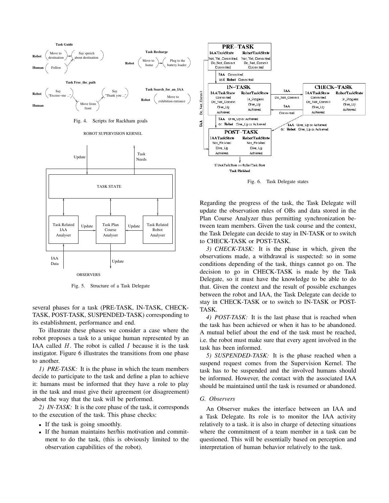

ROBOT SUPERVISION KERNEL



Fig. 5. Structure of a Task Delegate

several phases for a task (PRE-TASK, IN-TASK, CHECK-TASK, POST-TASK, SUSPENDED-TASK) corresponding to its establishment, performance and end.

To illustrate these phases we consider a case where the robot proposes a task to a unique human represented by an IAA called *H*. The robot is called *I* because it is the task instigator. Figure 6 illustrates the transitions from one phase to another.

*1) PRE-TASK:* It is the phase in which the team members decide to participate to the task and define a plan to achieve it: humans must be informed that they have a role to play in the task and must give their agreement (or disagreement) about the way that the task will be performed.

*2) IN-TASK:* It is the core phase of the task, it corresponds to the execution of the task. This phase checks:

- If the task is going smoothly.
- *•* If the human maintains her/his motivation and commitment to do the task, (this is obviously limited to the observation capabilities of the robot).



Fig. 6. Task Delegate states

Regarding the progress of the task, the Task Delegate will update the observation rules of OBs and data stored in the Plan Course Analyzer thus permitting synchronization between team members. Given the task course and the context, the Task Delegate can decide to stay in IN-TASK or to switch to CHECK-TASK or POST-TASK.

*3) CHECK-TASK:* It is the phase in which, given the observations made, a withdrawal is suspected: so in some conditions depending of the task, things cannot go on. The decision to go in CHECK-TASK is made by the Task Delegate, so it must have the knowledge to be able to do that. Given the context and the result of possible exchanges between the robot and IAA, the Task Delegate can decide to stay in CHECK-TASK or to switch to IN-TASK or POST-TASK.

*4) POST-TASK:* It is the last phase that is reached when the task has been achieved or when it has to be abandoned. A mutual belief about the end of the task must be reached, i.e. the robot must make sure that every agent involved in the task has been informed.

*5) SUSPENDED-TASK:* It is the phase reached when a suspend request comes from the Supervision Kernel. The task has to be suspended and the involved humans should be informed. However, the contact with the associated IAA should be maintained until the task is resumed or abandoned.

# *G. Observers*

An Observer makes the interface between an IAA and a Task Delegate. Its role is to monitor the IAA activity relatively to a task. it is also in charge of detecting situations where the commitment of a team member in a task can be questioned. This will be essentially based on perception and interpretation of human behavior relatively to the task.